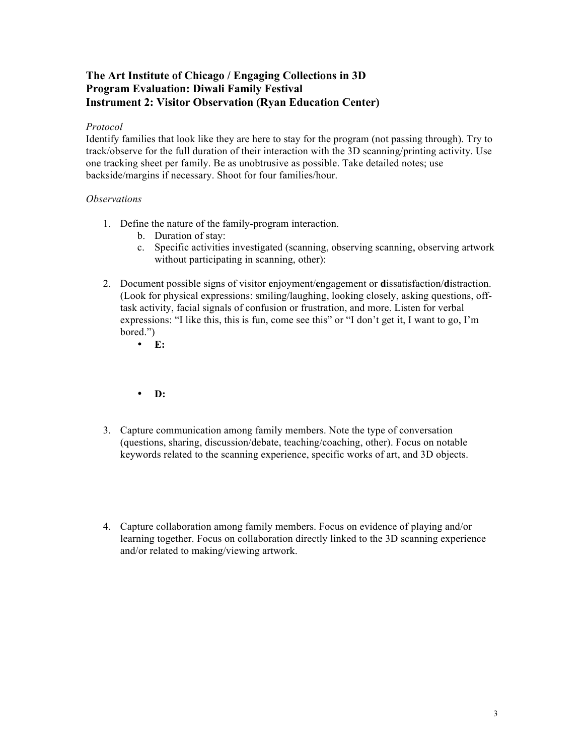## **The Art Institute of Chicago / Engaging Collections in 3D Program Evaluation: Diwali Family Festival Instrument 2: Visitor Observation (Ryan Education Center)**

## *Protocol*

Identify families that look like they are here to stay for the program (not passing through). Try to track/observe for the full duration of their interaction with the 3D scanning/printing activity. Use one tracking sheet per family. Be as unobtrusive as possible. Take detailed notes; use backside/margins if necessary. Shoot for four families/hour.

## *Observations*

- 1. Define the nature of the family-program interaction.
	- b. Duration of stay:
	- c. Specific activities investigated (scanning, observing scanning, observing artwork without participating in scanning, other):
- 2. Document possible signs of visitor **e**njoyment/**e**ngagement or **d**issatisfaction/**d**istraction. (Look for physical expressions: smiling/laughing, looking closely, asking questions, offtask activity, facial signals of confusion or frustration, and more. Listen for verbal expressions: "I like this, this is fun, come see this" or "I don't get it, I want to go, I'm bored.")
	- **E:**
	- **D:**
- 3. Capture communication among family members. Note the type of conversation (questions, sharing, discussion/debate, teaching/coaching, other). Focus on notable keywords related to the scanning experience, specific works of art, and 3D objects.
- 4. Capture collaboration among family members. Focus on evidence of playing and/or learning together. Focus on collaboration directly linked to the 3D scanning experience and/or related to making/viewing artwork.